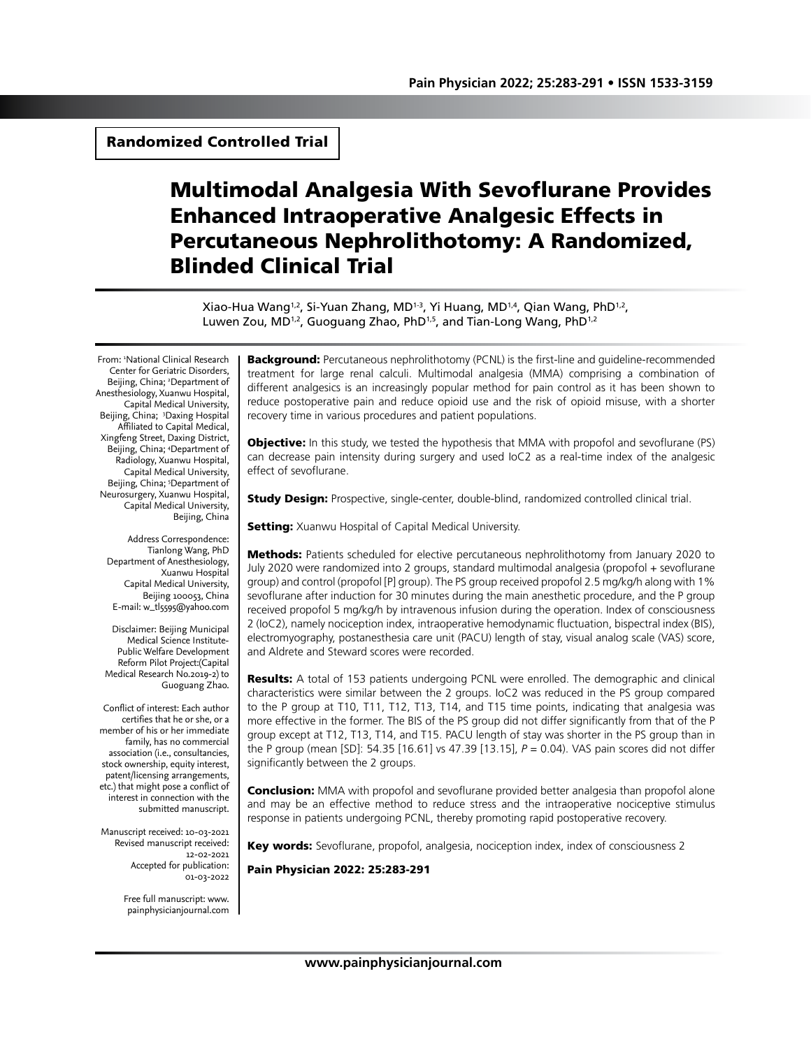# Randomized Controlled Trial

# Multimodal Analgesia With Sevoflurane Provides Enhanced Intraoperative Analgesic Effects in Percutaneous Nephrolithotomy: A Randomized, Blinded Clinical Trial

Xiao-Hua Wang<sup>1,2</sup>, Si-Yuan Zhang, MD<sup>1-3</sup>, Yi Huang, MD<sup>1,4</sup>, Qian Wang, PhD<sup>1,2</sup>, Luwen Zou, MD<sup>1,2</sup>, Guoguang Zhao, PhD<sup>1,5</sup>, and Tian-Long Wang, PhD<sup>1,2</sup>

From: 1 National Clinical Research Center for Geriatric Disorders, Beijing, China; <sup>2</sup>Department of Anesthesiology, Xuanwu Hospital, Capital Medical University, Beijing, China; 3 Daxing Hospital Affiliated to Capital Medical, Xingfeng Street, Daxing District, Beijing, China; 4 Department of Radiology, Xuanwu Hospital, Capital Medical University, Beijing, China; <sup>5</sup>Department of Neurosurgery, Xuanwu Hospital, Capital Medical University, Beijing, China

Address Correspondence: Tianlong Wang, PhD Department of Anesthesiology, Xuanwu Hospital Capital Medical University, Beijing 100053, China E-mail: w\_tl5595@yahoo.com

Disclaimer: Beijing Municipal Medical Science Institute-Public Welfare Development Reform Pilot Project:(Capital Medical Research No.2019-2) to Guoguang Zhao.

Conflict of interest: Each author certifies that he or she, or a member of his or her immediate family, has no commercial association (i.e., consultancies, stock ownership, equity interest, patent/licensing arrangements, etc.) that might pose a conflict of interest in connection with the submitted manuscript.

Manuscript received: 10-03-2021 Revised manuscript received: 12-02-2021 Accepted for publication: 01-03-2022

> Free full manuscript: www. painphysicianjournal.com

**Background:** Percutaneous nephrolithotomy (PCNL) is the first-line and quideline-recommended treatment for large renal calculi. Multimodal analgesia (MMA) comprising a combination of different analgesics is an increasingly popular method for pain control as it has been shown to reduce postoperative pain and reduce opioid use and the risk of opioid misuse, with a shorter recovery time in various procedures and patient populations.

**Objective:** In this study, we tested the hypothesis that MMA with propofol and sevoflurane (PS) can decrease pain intensity during surgery and used IoC2 as a real-time index of the analgesic effect of sevoflurane.

**Study Design:** Prospective, single-center, double-blind, randomized controlled clinical trial.

**Setting:** Xuanwu Hospital of Capital Medical University.

**Methods:** Patients scheduled for elective percutaneous nephrolithotomy from January 2020 to July 2020 were randomized into 2 groups, standard multimodal analgesia (propofol + sevoflurane group) and control (propofol [P] group). The PS group received propofol 2.5 mg/kg/h along with 1% sevoflurane after induction for 30 minutes during the main anesthetic procedure, and the P group received propofol 5 mg/kg/h by intravenous infusion during the operation. Index of consciousness 2 (IoC2), namely nociception index, intraoperative hemodynamic fluctuation, bispectral index (BIS), electromyography, postanesthesia care unit (PACU) length of stay, visual analog scale (VAS) score, and Aldrete and Steward scores were recorded.

**Results:** A total of 153 patients undergoing PCNL were enrolled. The demographic and clinical characteristics were similar between the 2 groups. IoC2 was reduced in the PS group compared to the P group at T10, T11, T12, T13, T14, and T15 time points, indicating that analgesia was more effective in the former. The BIS of the PS group did not differ significantly from that of the P group except at T12, T13, T14, and T15. PACU length of stay was shorter in the PS group than in the P group (mean [SD]: 54.35 [16.61] vs 47.39 [13.15], *P* = 0.04). VAS pain scores did not differ significantly between the 2 groups.

**Conclusion:** MMA with propofol and sevoflurane provided better analgesia than propofol alone and may be an effective method to reduce stress and the intraoperative nociceptive stimulus response in patients undergoing PCNL, thereby promoting rapid postoperative recovery.

Key words: Sevoflurane, propofol, analgesia, nociception index, index of consciousness 2

Pain Physician 2022: 25:283-291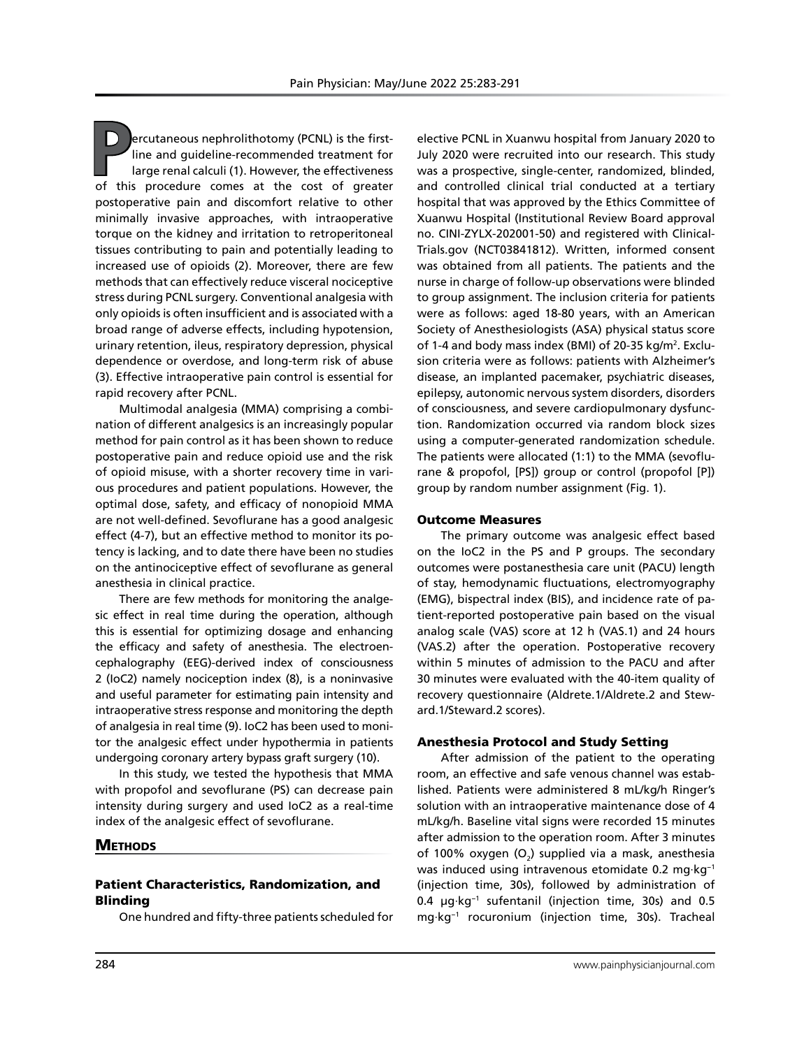**P**ercutaneous nephrolithotomy (PCNL) is the firstline and guideline-recommended treatment for large renal calculi (1). However, the effectiveness of this procedure comes at the cost of greater postoperative pain and discomfort relative to other minimally invasive approaches, with intraoperative torque on the kidney and irritation to retroperitoneal tissues contributing to pain and potentially leading to increased use of opioids (2). Moreover, there are few methods that can effectively reduce visceral nociceptive stress during PCNL surgery. Conventional analgesia with only opioids is often insufficient and is associated with a broad range of adverse effects, including hypotension, urinary retention, ileus, respiratory depression, physical dependence or overdose, and long-term risk of abuse (3). Effective intraoperative pain control is essential for rapid recovery after PCNL.

Multimodal analgesia (MMA) comprising a combination of different analgesics is an increasingly popular method for pain control as it has been shown to reduce postoperative pain and reduce opioid use and the risk of opioid misuse, with a shorter recovery time in various procedures and patient populations. However, the optimal dose, safety, and efficacy of nonopioid MMA are not well-defined. Sevoflurane has a good analgesic effect (4-7), but an effective method to monitor its potency is lacking, and to date there have been no studies on the antinociceptive effect of sevoflurane as general anesthesia in clinical practice.

There are few methods for monitoring the analgesic effect in real time during the operation, although this is essential for optimizing dosage and enhancing the efficacy and safety of anesthesia. The electroencephalography (EEG)-derived index of consciousness 2 (IoC2) namely nociception index (8), is a noninvasive and useful parameter for estimating pain intensity and intraoperative stress response and monitoring the depth of analgesia in real time (9). IoC2 has been used to monitor the analgesic effect under hypothermia in patients undergoing coronary artery bypass graft surgery (10).

In this study, we tested the hypothesis that MMA with propofol and sevoflurane (PS) can decrease pain intensity during surgery and used IoC2 as a real-time index of the analgesic effect of sevoflurane.

## **METHODS**

## Patient Characteristics, Randomization, and Blinding

One hundred and fifty-three patients scheduled for

elective PCNL in Xuanwu hospital from January 2020 to July 2020 were recruited into our research. This study was a prospective, single-center, randomized, blinded, and controlled clinical trial conducted at a tertiary hospital that was approved by the Ethics Committee of Xuanwu Hospital (Institutional Review Board approval no. CINI-ZYLX-202001-50) and registered with Clinical-Trials.gov (NCT03841812). Written, informed consent was obtained from all patients. The patients and the nurse in charge of follow-up observations were blinded to group assignment. The inclusion criteria for patients were as follows: aged 18-80 years, with an American Society of Anesthesiologists (ASA) physical status score of 1-4 and body mass index (BMI) of 20-35 kg/m<sup>2</sup>. Exclusion criteria were as follows: patients with Alzheimer's disease, an implanted pacemaker, psychiatric diseases, epilepsy, autonomic nervous system disorders, disorders of consciousness, and severe cardiopulmonary dysfunction. Randomization occurred via random block sizes using a computer-generated randomization schedule. The patients were allocated (1:1) to the MMA (sevoflurane & propofol, [PS]) group or control (propofol [P]) group by random number assignment (Fig. 1).

#### Outcome Measures

The primary outcome was analgesic effect based on the IoC2 in the PS and P groups. The secondary outcomes were postanesthesia care unit (PACU) length of stay, hemodynamic fluctuations, electromyography (EMG), bispectral index (BIS), and incidence rate of patient-reported postoperative pain based on the visual analog scale (VAS) score at 12 h (VAS.1) and 24 hours (VAS.2) after the operation. Postoperative recovery within 5 minutes of admission to the PACU and after 30 minutes were evaluated with the 40-item quality of recovery questionnaire (Aldrete.1/Aldrete.2 and Steward.1/Steward.2 scores).

#### Anesthesia Protocol and Study Setting

After admission of the patient to the operating room, an effective and safe venous channel was established. Patients were administered 8 mL/kg/h Ringer's solution with an intraoperative maintenance dose of 4 mL/kg/h. Baseline vital signs were recorded 15 minutes after admission to the operation room. After 3 minutes of 100% oxygen (O<sub>2</sub>) supplied via a mask, anesthesia was induced using intravenous etomidate 0.2 mg·kg−1 (injection time, 30s), followed by administration of 0.4 µg·kg−1 sufentanil (injection time, 30s) and 0.5 mg·kg−1 rocuronium (injection time, 30s). Tracheal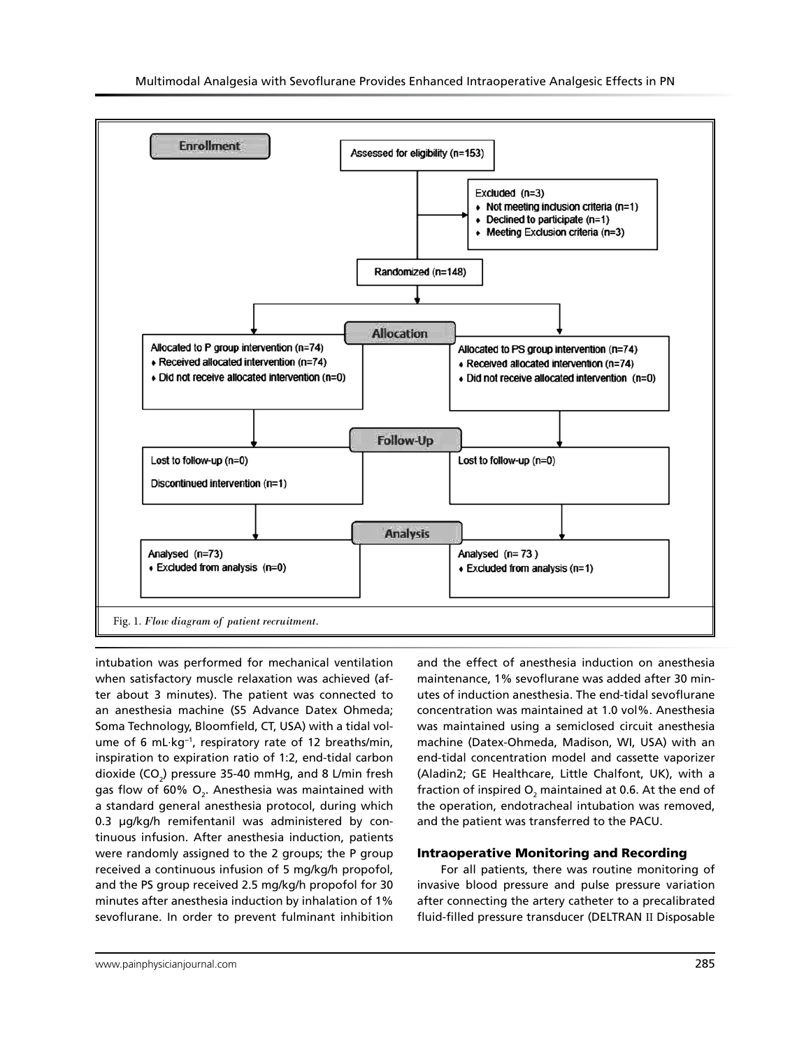

intubation was performed for mechanical ventilation when satisfactory muscle relaxation was achieved (after about 3 minutes). The patient was connected to an anesthesia machine (S5 Advance Datex Ohmeda; Soma Technology, Bloomfield, CT, USA) with a tidal volume of 6 mL·kg−1, respiratory rate of 12 breaths/min, inspiration to expiration ratio of 1:2, end-tidal carbon dioxide (CO<sub>2</sub>) pressure 35-40 mmHg, and 8 L/min fresh gas flow of 60%  $\mathsf{O}_2$ . Anesthesia was maintained with a standard general anesthesia protocol, during which 0.3 µg/kg/h remifentanil was administered by continuous infusion. After anesthesia induction, patients were randomly assigned to the 2 groups; the P group received a continuous infusion of 5 mg/kg/h propofol, and the PS group received 2.5 mg/kg/h propofol for 30 minutes after anesthesia induction by inhalation of 1% sevoflurane. In order to prevent fulminant inhibition

and the effect of anesthesia induction on anesthesia maintenance, 1% sevoflurane was added after 30 minutes of induction anesthesia. The end-tidal sevoflurane concentration was maintained at 1.0 vol%. Anesthesia was maintained using a semiclosed circuit anesthesia machine (Datex-Ohmeda, Madison, WI, USA) with an end-tidal concentration model and cassette vaporizer (Aladin2; GE Healthcare, Little Chalfont, UK), with a fraction of inspired O $_{\textrm{\tiny{2}}}$  maintained at 0.6. At the end of the operation, endotracheal intubation was removed, and the patient was transferred to the PACU.

## Intraoperative Monitoring and Recording

For all patients, there was routine monitoring of invasive blood pressure and pulse pressure variation after connecting the artery catheter to a precalibrated fluid-filled pressure transducer (DELTRAN Ⅱ Disposable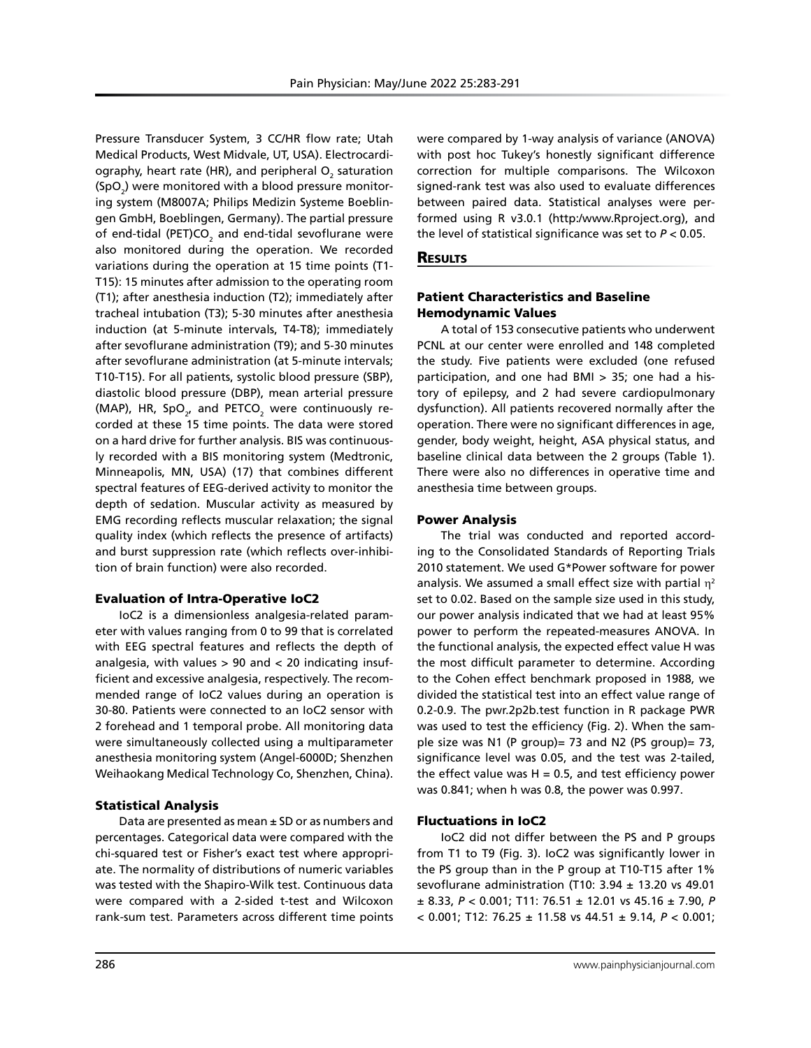Pressure Transducer System, 3 CC/HR flow rate; Utah Medical Products, West Midvale, UT, USA). Electrocardiography, heart rate (HR), and peripheral  $\mathsf{O}_2$  saturation  $(SpO<sub>2</sub>)$  were monitored with a blood pressure monitoring system (M8007A; Philips Medizin Systeme Boeblingen GmbH, Boeblingen, Germany). The partial pressure of end-tidal (PET)CO $_{\tiny 2}$  and end-tidal sevoflurane were also monitored during the operation. We recorded variations during the operation at 15 time points (T1- T15): 15 minutes after admission to the operating room (T1); after anesthesia induction (T2); immediately after tracheal intubation (T3); 5-30 minutes after anesthesia induction (at 5-minute intervals, T4-T8); immediately after sevoflurane administration (T9); and 5-30 minutes after sevoflurane administration (at 5-minute intervals; T10-T15). For all patients, systolic blood pressure (SBP), diastolic blood pressure (DBP), mean arterial pressure (MAP), HR, SpO $_{2'}$  and PETCO $_{2}$  were continuously recorded at these 15 time points. The data were stored on a hard drive for further analysis. BIS was continuously recorded with a BIS monitoring system (Medtronic, Minneapolis, MN, USA) (17) that combines different spectral features of EEG-derived activity to monitor the depth of sedation. Muscular activity as measured by EMG recording reflects muscular relaxation; the signal quality index (which reflects the presence of artifacts) and burst suppression rate (which reflects over-inhibition of brain function) were also recorded.

#### Evaluation of Intra-Operative IoC2

IoC2 is a dimensionless analgesia-related parameter with values ranging from 0 to 99 that is correlated with EEG spectral features and reflects the depth of analgesia, with values  $> 90$  and  $< 20$  indicating insufficient and excessive analgesia, respectively. The recommended range of IoC2 values during an operation is 30-80. Patients were connected to an IoC2 sensor with 2 forehead and 1 temporal probe. All monitoring data were simultaneously collected using a multiparameter anesthesia monitoring system (Angel-6000D; Shenzhen Weihaokang Medical Technology Co, Shenzhen, China).

#### Statistical Analysis

Data are presented as mean ± SD or as numbers and percentages. Categorical data were compared with the chi-squared test or Fisher's exact test where appropriate. The normality of distributions of numeric variables was tested with the Shapiro-Wilk test. Continuous data were compared with a 2-sided t-test and Wilcoxon rank-sum test. Parameters across different time points

were compared by 1-way analysis of variance (ANOVA) with post hoc Tukey's honestly significant difference correction for multiple comparisons. The Wilcoxon signed-rank test was also used to evaluate differences between paired data. Statistical analyses were performed using R v3.0.1 (http:/www.Rproject.org), and the level of statistical significance was set to *P* < 0.05.

### **RESULTS**

# Patient Characteristics and Baseline Hemodynamic Values

A total of 153 consecutive patients who underwent PCNL at our center were enrolled and 148 completed the study. Five patients were excluded (one refused participation, and one had BMI > 35; one had a history of epilepsy, and 2 had severe cardiopulmonary dysfunction). All patients recovered normally after the operation. There were no significant differences in age, gender, body weight, height, ASA physical status, and baseline clinical data between the 2 groups (Table 1). There were also no differences in operative time and anesthesia time between groups.

#### Power Analysis

The trial was conducted and reported according to the Consolidated Standards of Reporting Trials 2010 statement. We used G\*Power software for power analysis. We assumed a small effect size with partial  $\eta^2$ set to 0.02. Based on the sample size used in this study, our power analysis indicated that we had at least 95% power to perform the repeated-measures ANOVA. In the functional analysis, the expected effect value H was the most difficult parameter to determine. According to the Cohen effect benchmark proposed in 1988, we divided the statistical test into an effect value range of 0.2-0.9. The pwr.2p2b.test function in R package PWR was used to test the efficiency (Fig. 2). When the sample size was N1 (P group)= 73 and N2 (PS group)= 73, significance level was 0.05, and the test was 2-tailed, the effect value was  $H = 0.5$ , and test efficiency power was 0.841; when h was 0.8, the power was 0.997.

## Fluctuations in IoC2

IoC2 did not differ between the PS and P groups from T1 to T9 (Fig. 3). IoC2 was significantly lower in the PS group than in the P group at T10-T15 after 1% sevoflurane administration (T10:  $3.94 \pm 13.20$  vs 49.01 ± 8.33, *P* < 0.001; T11: 76.51 ± 12.01 vs 45.16 ± 7.90, *P* < 0.001; T12: 76.25 ± 11.58 vs 44.51 ± 9.14, *P* < 0.001;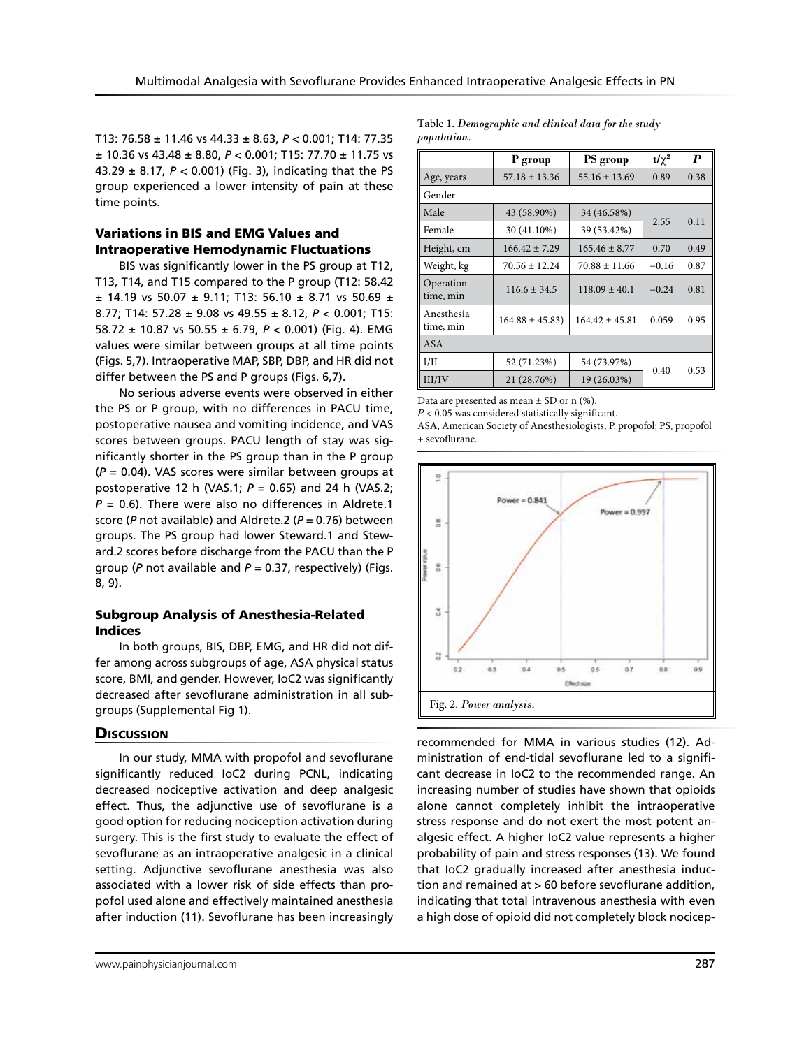T13: 76.58 ± 11.46 vs 44.33 ± 8.63, *P* < 0.001; T14: 77.35 ± 10.36 vs 43.48 ± 8.80, *P* < 0.001; T15: 77.70 ± 11.75 vs 43.29 ± 8.17, *P* < 0.001) (Fig. 3), indicating that the PS group experienced a lower intensity of pain at these time points.

# Variations in BIS and EMG Values and Intraoperative Hemodynamic Fluctuations

BIS was significantly lower in the PS group at T12, T13, T14, and T15 compared to the P group (T12: 58.42  $\pm$  14.19 vs 50.07  $\pm$  9.11; T13: 56.10  $\pm$  8.71 vs 50.69  $\pm$ 8.77; T14: 57.28 ± 9.08 vs 49.55 ± 8.12, *P* < 0.001; T15: 58.72 ± 10.87 vs 50.55 ± 6.79, *P* < 0.001) (Fig. 4). EMG values were similar between groups at all time points (Figs. 5,7). Intraoperative MAP, SBP, DBP, and HR did not differ between the PS and P groups (Figs. 6,7).

No serious adverse events were observed in either the PS or P group, with no differences in PACU time, postoperative nausea and vomiting incidence, and VAS scores between groups. PACU length of stay was significantly shorter in the PS group than in the P group (*P* = 0.04). VAS scores were similar between groups at postoperative 12 h (VAS.1; *P* = 0.65) and 24 h (VAS.2;  $P = 0.6$ ). There were also no differences in Aldrete.1 score (*P* not available) and Aldrete.2 (*P* = 0.76) between groups. The PS group had lower Steward.1 and Steward.2 scores before discharge from the PACU than the P group (*P* not available and *P* = 0.37, respectively) (Figs. 8, 9).

## Subgroup Analysis of Anesthesia-Related Indices

In both groups, BIS, DBP, EMG, and HR did not differ among across subgroups of age, ASA physical status score, BMI, and gender. However, IoC2 was significantly decreased after sevoflurane administration in all subgroups (Supplemental Fig 1).

## **Discussion**

In our study, MMA with propofol and sevoflurane significantly reduced IoC2 during PCNL, indicating decreased nociceptive activation and deep analgesic effect. Thus, the adjunctive use of sevoflurane is a good option for reducing nociception activation during surgery. This is the first study to evaluate the effect of sevoflurane as an intraoperative analgesic in a clinical setting. Adjunctive sevoflurane anesthesia was also associated with a lower risk of side effects than propofol used alone and effectively maintained anesthesia after induction (11). Sevoflurane has been increasingly

Table 1. *Demographic and clinical data for the study population.*

|                         | P group            | PS group           | t/ $\gamma^2$ | P    |
|-------------------------|--------------------|--------------------|---------------|------|
| Age, years              | $57.18 \pm 13.36$  | $55.16 \pm 13.69$  | 0.89          | 0.38 |
| Gender                  |                    |                    |               |      |
| Male                    | 43 (58.90%)        | 34 (46.58%)        | 2.55          | 0.11 |
| Female                  | 30 (41.10%)        | 39 (53.42%)        |               |      |
| Height, cm              | $166.42 \pm 7.29$  | $165.46 \pm 8.77$  | 0.70          | 0.49 |
| Weight, kg              | $70.56 + 12.24$    | $70.88 + 11.66$    | $-0.16$       | 0.87 |
| Operation<br>time, min  | $116.6 \pm 34.5$   | $118.09 \pm 40.1$  | $-0.24$       | 0.81 |
| Anesthesia<br>time, min | $164.88 \pm 45.83$ | $164.42 \pm 45.81$ | 0.059         | 0.95 |
| <b>ASA</b>              |                    |                    |               |      |
| I/II                    | 52 (71.23%)        | 54 (73.97%)        | 0.40          | 0.53 |
| III/IV                  | 21 (28.76%)        | 19 (26.03%)        |               |      |

Data are presented as mean  $\pm$  SD or n (%).

*P* < 0.05 was considered statistically significant.

ASA, American Society of Anesthesiologists; P, propofol; PS, propofol + sevoflurane.



recommended for MMA in various studies (12). Administration of end-tidal sevoflurane led to a significant decrease in IoC2 to the recommended range. An increasing number of studies have shown that opioids alone cannot completely inhibit the intraoperative stress response and do not exert the most potent analgesic effect. A higher IoC2 value represents a higher probability of pain and stress responses (13). We found that IoC2 gradually increased after anesthesia induction and remained at > 60 before sevoflurane addition, indicating that total intravenous anesthesia with even a high dose of opioid did not completely block nocicep-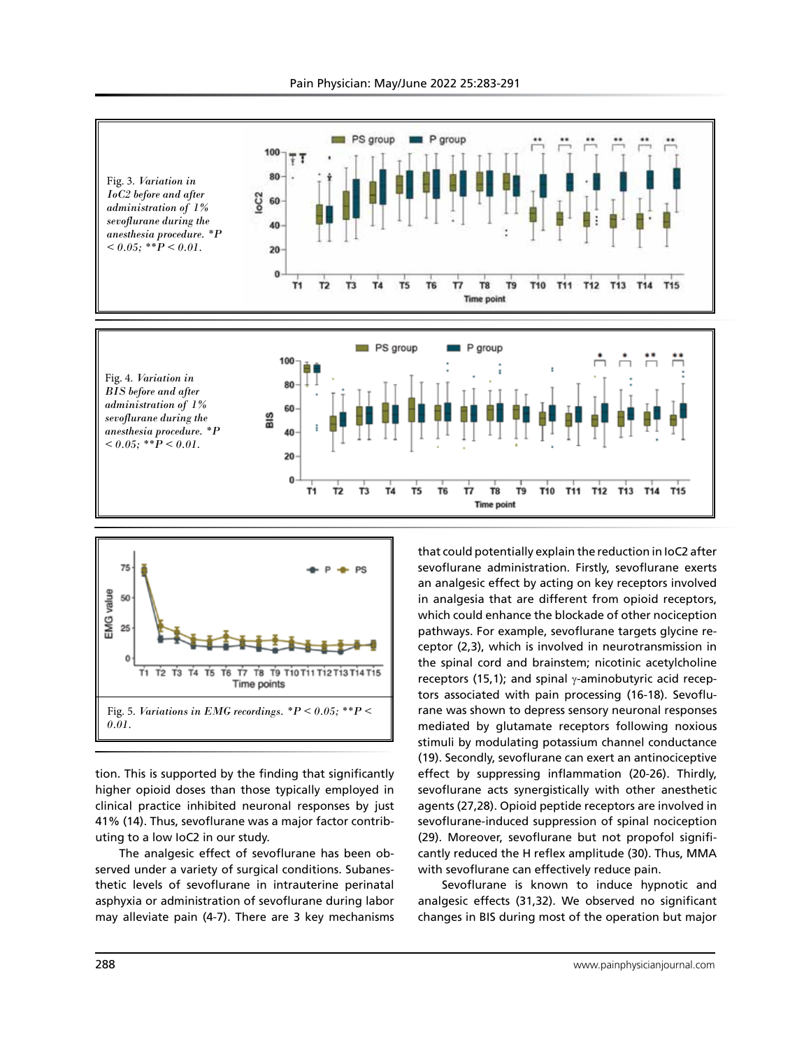



tion. This is supported by the finding that significantly higher opioid doses than those typically employed in clinical practice inhibited neuronal responses by just 41% (14). Thus, sevoflurane was a major factor contributing to a low IoC2 in our study.

The analgesic effect of sevoflurane has been observed under a variety of surgical conditions. Subanesthetic levels of sevoflurane in intrauterine perinatal asphyxia or administration of sevoflurane during labor may alleviate pain (4-7). There are 3 key mechanisms that could potentially explain the reduction in IoC2 after sevoflurane administration. Firstly, sevoflurane exerts an analgesic effect by acting on key receptors involved in analgesia that are different from opioid receptors, which could enhance the blockade of other nociception pathways. For example, sevoflurane targets glycine receptor (2,3), which is involved in neurotransmission in the spinal cord and brainstem; nicotinic acetylcholine receptors (15,1); and spinal γ-aminobutyric acid receptors associated with pain processing (16-18). Sevoflurane was shown to depress sensory neuronal responses mediated by glutamate receptors following noxious stimuli by modulating potassium channel conductance (19). Secondly, sevoflurane can exert an antinociceptive effect by suppressing inflammation (20-26). Thirdly, sevoflurane acts synergistically with other anesthetic agents (27,28). Opioid peptide receptors are involved in sevoflurane-induced suppression of spinal nociception (29). Moreover, sevoflurane but not propofol significantly reduced the H reflex amplitude (30). Thus, MMA with sevoflurane can effectively reduce pain.

Sevoflurane is known to induce hypnotic and analgesic effects (31,32). We observed no significant changes in BIS during most of the operation but major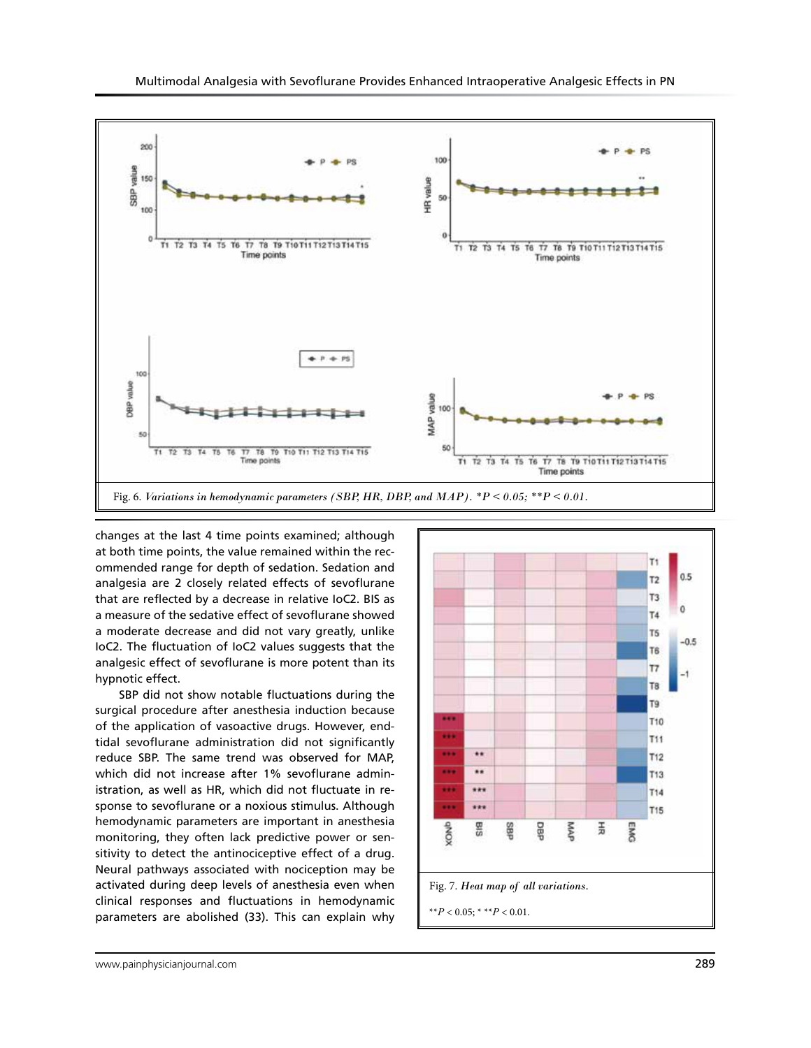

changes at the last 4 time points examined; although at both time points, the value remained within the recommended range for depth of sedation. Sedation and analgesia are 2 closely related effects of sevoflurane that are reflected by a decrease in relative IoC2. BIS as a measure of the sedative effect of sevoflurane showed a moderate decrease and did not vary greatly, unlike IoC2. The fluctuation of IoC2 values suggests that the analgesic effect of sevoflurane is more potent than its hypnotic effect.

SBP did not show notable fluctuations during the surgical procedure after anesthesia induction because of the application of vasoactive drugs. However, endtidal sevoflurane administration did not significantly reduce SBP. The same trend was observed for MAP, which did not increase after 1% sevoflurane administration, as well as HR, which did not fluctuate in response to sevoflurane or a noxious stimulus. Although hemodynamic parameters are important in anesthesia monitoring, they often lack predictive power or sensitivity to detect the antinociceptive effect of a drug. Neural pathways associated with nociception may be activated during deep levels of anesthesia even when clinical responses and fluctuations in hemodynamic parameters are abolished (33). This can explain why

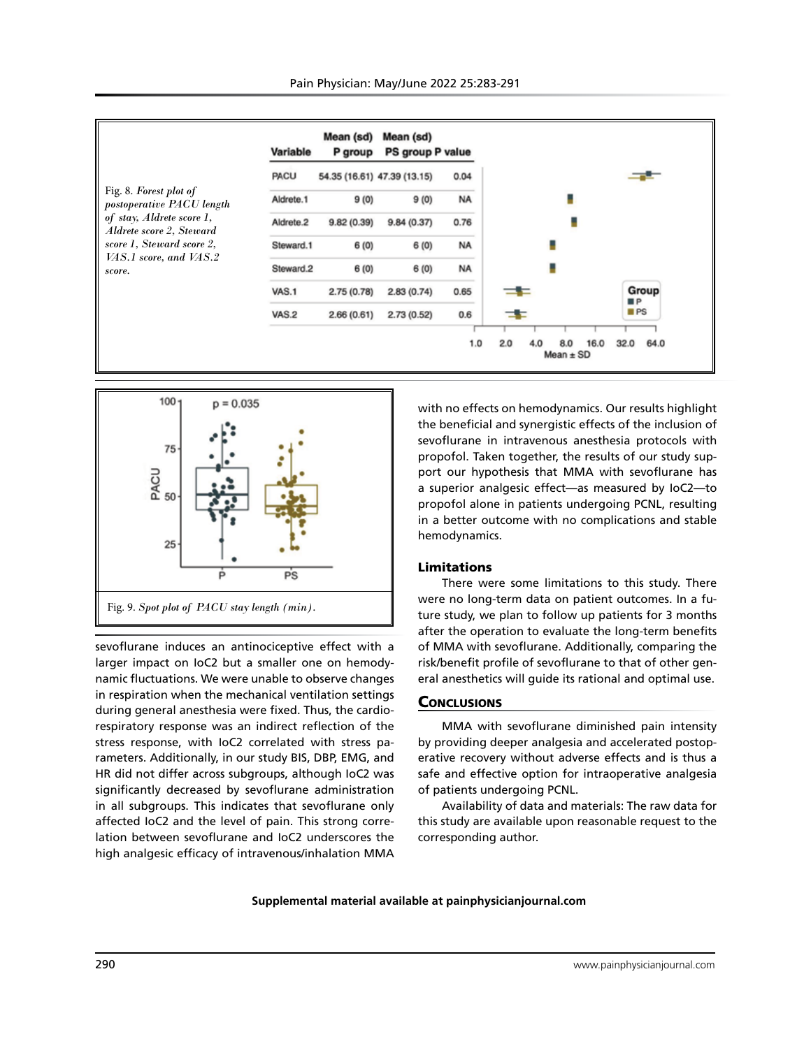



sevoflurane induces an antinociceptive effect with a larger impact on IoC2 but a smaller one on hemodynamic fluctuations. We were unable to observe changes in respiration when the mechanical ventilation settings during general anesthesia were fixed. Thus, the cardiorespiratory response was an indirect reflection of the stress response, with IoC2 correlated with stress parameters. Additionally, in our study BIS, DBP, EMG, and HR did not differ across subgroups, although IoC2 was significantly decreased by sevoflurane administration in all subgroups. This indicates that sevoflurane only affected IoC2 and the level of pain. This strong correlation between sevoflurane and IoC2 underscores the high analgesic efficacy of intravenous/inhalation MMA

with no effects on hemodynamics. Our results highlight the beneficial and synergistic effects of the inclusion of sevoflurane in intravenous anesthesia protocols with propofol. Taken together, the results of our study support our hypothesis that MMA with sevoflurane has a superior analgesic effect—as measured by IoC2—to propofol alone in patients undergoing PCNL, resulting in a better outcome with no complications and stable hemodynamics.

## Limitations

There were some limitations to this study. There were no long-term data on patient outcomes. In a future study, we plan to follow up patients for 3 months after the operation to evaluate the long-term benefits of MMA with sevoflurane. Additionally, comparing the risk/benefit profile of sevoflurane to that of other general anesthetics will guide its rational and optimal use.

#### **CONCLUSIONS**

MMA with sevoflurane diminished pain intensity by providing deeper analgesia and accelerated postoperative recovery without adverse effects and is thus a safe and effective option for intraoperative analgesia of patients undergoing PCNL.

Availability of data and materials: The raw data for this study are available upon reasonable request to the corresponding author.

**Supplemental material available at painphysicianjournal.com**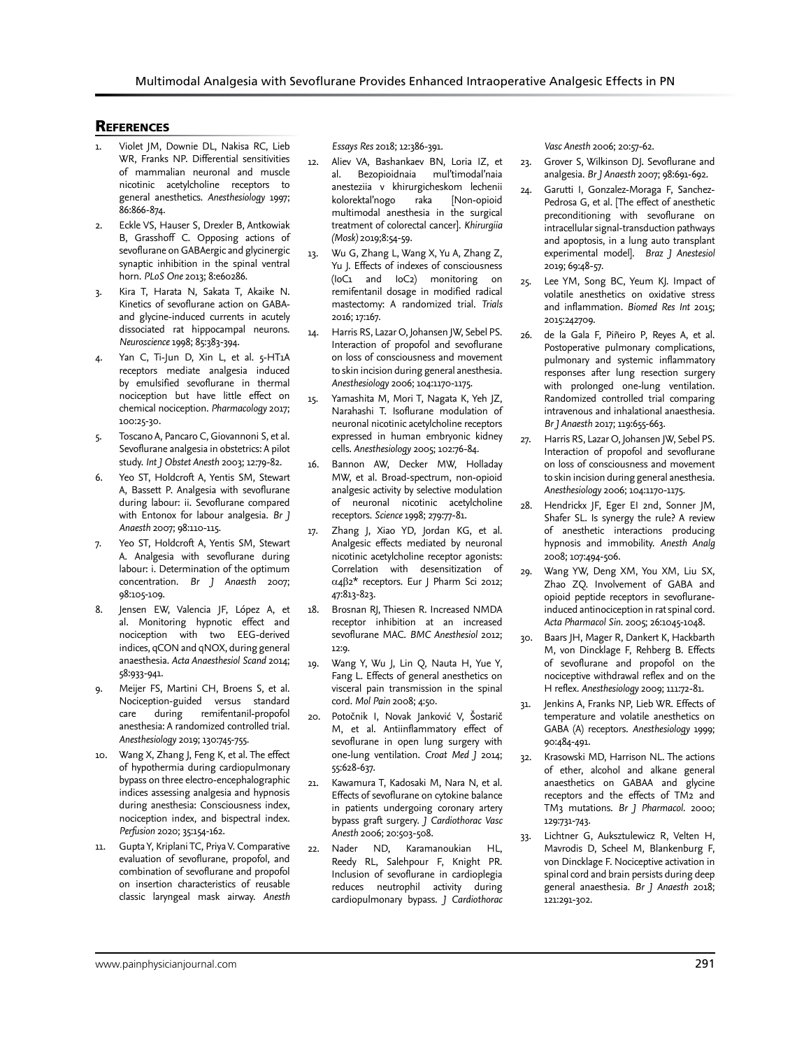# **REFERENCES**

- Violet JM, Downie DL, Nakisa RC, Lieb WR, Franks NP. Differential sensitivities of mammalian neuronal and muscle nicotinic acetylcholine receptors to general anesthetics. *Anesthesiology* 1997; 86:866-874.
- 2. Eckle VS, Hauser S, Drexler B, Antkowiak B, Grasshoff C. Opposing actions of sevoflurane on GABAergic and glycinergic synaptic inhibition in the spinal ventral horn. *PLoS One* 2013; 8:e60286.
- 3. Kira T, Harata N, Sakata T, Akaike N. Kinetics of sevoflurane action on GABAand glycine-induced currents in acutely dissociated rat hippocampal neurons. *Neuroscience* 1998; 85:383-394.
- Yan C, Ti-Jun D, Xin L, et al. 5-HT1A receptors mediate analgesia induced by emulsified sevoflurane in thermal nociception but have little effect on chemical nociception. *Pharmacology* 2017; 100:25-30.
- 5. Toscano A, Pancaro C, Giovannoni S, et al. Sevoflurane analgesia in obstetrics: A pilot study. *Int J Obstet Anesth* 2003; 12:79-82.
- 6. Yeo ST, Holdcroft A, Yentis SM, Stewart A, Bassett P. Analgesia with sevoflurane during labour: ii. Sevoflurane compared with Entonox for labour analgesia. *Br J Anaesth* 2007; 98:110-115.
- Yeo ST, Holdcroft A, Yentis SM, Stewart A. Analgesia with sevoflurane during labour: i. Determination of the optimum concentration. *Br J Anaesth* 2007; 98:105-109.
- Jensen EW, Valencia JF, López A, et al. Monitoring hypnotic effect and nociception with two EEG-derived indices, qCON and qNOX, during general anaesthesia. *Acta Anaesthesiol Scand* 2014; 58:933-941.
- 9. Meijer FS, Martini CH, Broens S, et al. Nociception-guided versus standard care during remifentanil-propofol anesthesia: A randomized controlled trial. *Anesthesiology* 2019; 130:745-755.
- 10. Wang X, Zhang J, Feng K, et al. The effect of hypothermia during cardiopulmonary bypass on three electro-encephalographic indices assessing analgesia and hypnosis during anesthesia: Consciousness index, nociception index, and bispectral index. *Perfusion* 2020; 35:154-162.
- 11. Gupta Y, Kriplani TC, Priya V. Comparative evaluation of sevoflurane, propofol, and combination of sevoflurane and propofol on insertion characteristics of reusable classic laryngeal mask airway. *Anesth*

*Essays Res* 2018; 12:386-391.

- 12. Aliev VA, Bashankaev BN, Loria IZ, et<br>al. Bezopioidnaia mul'timodal'naia al. Bezopioidnaia mul'timodal'naia anesteziia v khirurgicheskom lechenii kolorektal'nogo raka [Non-opioid multimodal anesthesia in the surgical treatment of colorectal cancer]. *Khirurgiia (Mosk)* 2019;8:54-59.
- 13. Wu G, Zhang L, Wang X, Yu A, Zhang Z, Yu J. Effects of indexes of consciousness (IoC1 and IoC2) monitoring on remifentanil dosage in modified radical mastectomy: A randomized trial. *Trials* 2016; 17:167.
- 14. Harris RS, Lazar O, Johansen JW, Sebel PS. Interaction of propofol and sevoflurane on loss of consciousness and movement to skin incision during general anesthesia. *Anesthesiology* 2006; 104:1170-1175.
- 15. Yamashita M, Mori T, Nagata K, Yeh JZ, Narahashi T. Isoflurane modulation of neuronal nicotinic acetylcholine receptors expressed in human embryonic kidney cells. *Anesthesiology* 2005; 102:76-84.
- 16. Bannon AW, Decker MW, Holladay MW, et al. Broad-spectrum, non-opioid analgesic activity by selective modulation of neuronal nicotinic acetylcholine receptors. *Science* 1998; 279:77-81.
- 17. Zhang J, Xiao YD, Jordan KG, et al. Analgesic effects mediated by neuronal nicotinic acetylcholine receptor agonists: Correlation with desensitization of α4β2\* receptors. Eur J Pharm Sci 2012; 47:813-823.
- 18. Brosnan RJ, Thiesen R. Increased NMDA receptor inhibition at an increased sevoflurane MAC. *BMC Anesthesiol* 2012; 12:9.
- 19. Wang Y, Wu J, Lin Q, Nauta H, Yue Y, Fang L. Effects of general anesthetics on visceral pain transmission in the spinal cord. *Mol Pain* 2008; 4:50.
- 20. Potočnik I, Novak Janković V, Šostarič M, et al. Antiinflammatory effect of sevoflurane in open lung surgery with one-lung ventilation. *Croat Med J* 2014; 55:628-637.
- 21. Kawamura T, Kadosaki M, Nara N, et al. Effects of sevoflurane on cytokine balance in patients undergoing coronary artery bypass graft surgery. *J Cardiothorac Vasc Anesth* 2006; 20:503-508.
- 22. Nader ND, Karamanoukian HL, Reedy RL, Salehpour F, Knight PR. Inclusion of sevoflurane in cardioplegia reduces neutrophil activity during cardiopulmonary bypass. *J Cardiothorac*

*Vasc Anesth* 2006; 20:57-62.

- 23. Grover S, Wilkinson DJ. Sevoflurane and analgesia. *Br J Anaesth* 2007; 98:691-692.
- 24. Garutti I, Gonzalez-Moraga F, Sanchez-Pedrosa G, et al. [The effect of anesthetic preconditioning with sevoflurane on intracellular signal-transduction pathways and apoptosis, in a lung auto transplant experimental model]. *Braz J Anestesiol* 2019; 69:48-57.
- 25. Lee YM, Song BC, Yeum KJ. Impact of volatile anesthetics on oxidative stress and inflammation. *Biomed Res Int* 2015; 2015:242709.
- 26. de la Gala F, Piñeiro P, Reyes A, et al. Postoperative pulmonary complications, pulmonary and systemic inflammatory responses after lung resection surgery with prolonged one-lung ventilation. Randomized controlled trial comparing intravenous and inhalational anaesthesia. *Br J Anaesth* 2017; 119:655-663.
- 27. Harris RS, Lazar O, Johansen JW, Sebel PS. Interaction of propofol and sevoflurane on loss of consciousness and movement to skin incision during general anesthesia. *Anesthesiology* 2006; 104:1170-1175.
- 28. Hendrickx JF, Eger EI 2nd, Sonner JM, Shafer SL. Is synergy the rule? A review of anesthetic interactions producing hypnosis and immobility. *Anesth Analg* 2008; 107:494-506.
- 29. Wang YW, Deng XM, You XM, Liu SX, Zhao ZQ. Involvement of GABA and opioid peptide receptors in sevofluraneinduced antinociception in rat spinal cord. *Acta Pharmacol Sin*. 2005; 26:1045-1048.
- 30. Baars JH, Mager R, Dankert K, Hackbarth M, von Dincklage F, Rehberg B. Effects of sevoflurane and propofol on the nociceptive withdrawal reflex and on the H reflex. *Anesthesiology* 2009; 111:72-81.
- 31. Jenkins A, Franks NP, Lieb WR. Effects of temperature and volatile anesthetics on GABA (A) receptors. *Anesthesiology* 1999; 90:484-491.
- 32. Krasowski MD, Harrison NL. The actions of ether, alcohol and alkane general anaesthetics on GABAA and glycine receptors and the effects of TM2 and TM3 mutations. *Br J Pharmacol*. 2000; 129:731-743.
- 33. Lichtner G, Auksztulewicz R, Velten H, Mavrodis D, Scheel M, Blankenburg F, von Dincklage F. Nociceptive activation in spinal cord and brain persists during deep general anaesthesia. *Br J Anaesth* 2018; 121:291-302.